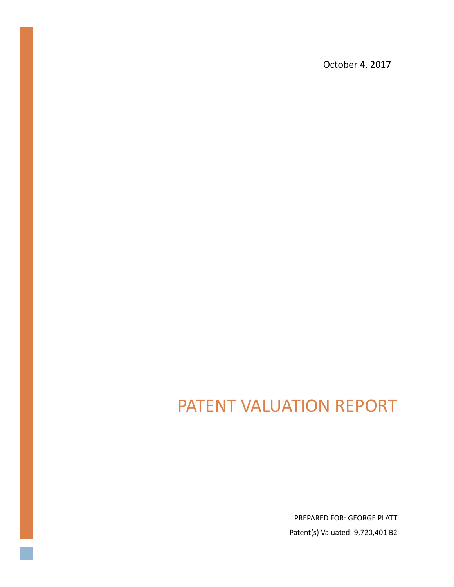October 4, 2017

# PATENT VALUATION REPORT

PREPARED FOR: GEORGE PLATT Patent(s) Valuated: 9,720,401 B2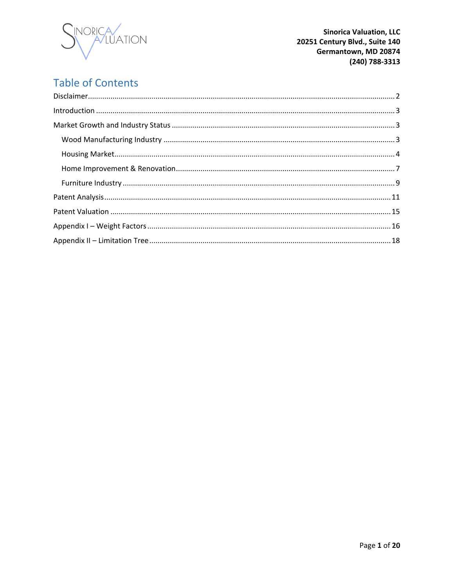

## **Table of Contents**

| $\label{eq:1} \mbox{Introduction} \,\, \ldots \,\, \ldots \,\, \ldots \,\, \ldots \,\, \ldots \,\, \ldots \,\, \ldots \,\, \ldots \,\, \ldots \,\, \ldots \,\, \ldots \,\, \ldots \,\, \ldots \,\, \ldots \,\, \ldots \,\, \ldots \,\, \ldots \,\, \ldots \,\, \ldots \,\, \ldots \,\, \ldots \,\, \ldots \,\, \ldots \,\, \ldots \,\, \ldots \,\, \ldots \,\, \ldots \,\, \ldots \,\, \ldots \,\, \ldots \,\, \ldots \,\, \ldots \,\, \ldots \,\, \ldots \,\,$ |  |
|-----------------------------------------------------------------------------------------------------------------------------------------------------------------------------------------------------------------------------------------------------------------------------------------------------------------------------------------------------------------------------------------------------------------------------------------------------------------|--|
|                                                                                                                                                                                                                                                                                                                                                                                                                                                                 |  |
|                                                                                                                                                                                                                                                                                                                                                                                                                                                                 |  |
|                                                                                                                                                                                                                                                                                                                                                                                                                                                                 |  |
|                                                                                                                                                                                                                                                                                                                                                                                                                                                                 |  |
|                                                                                                                                                                                                                                                                                                                                                                                                                                                                 |  |
|                                                                                                                                                                                                                                                                                                                                                                                                                                                                 |  |
|                                                                                                                                                                                                                                                                                                                                                                                                                                                                 |  |
|                                                                                                                                                                                                                                                                                                                                                                                                                                                                 |  |
|                                                                                                                                                                                                                                                                                                                                                                                                                                                                 |  |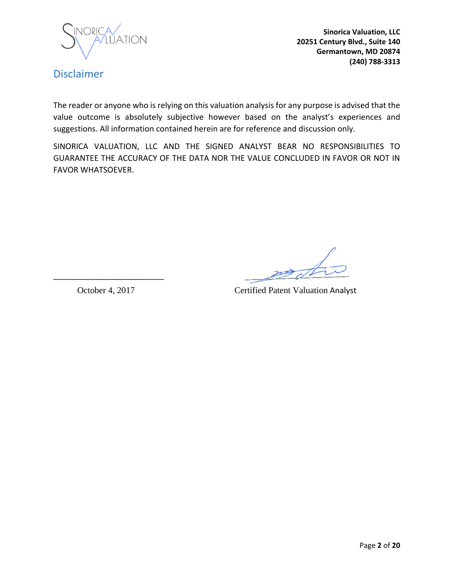

### <span id="page-2-0"></span>Disclaimer

The reader or anyone who is relying on this valuation analysis for any purpose is advised that the value outcome is absolutely subjective however based on the analyst's experiences and suggestions. All information contained herein are for reference and discussion only.

SINORICA VALUATION, LLC AND THE SIGNED ANALYST BEAR NO RESPONSIBILITIES TO GUARANTEE THE ACCURACY OF THE DATA NOR THE VALUE CONCLUDED IN FAVOR OR NOT IN FAVOR WHATSOEVER.

 $\overline{\mathscr{L}}$ 

October 4, 2017 Certified Patent Valuation Analyst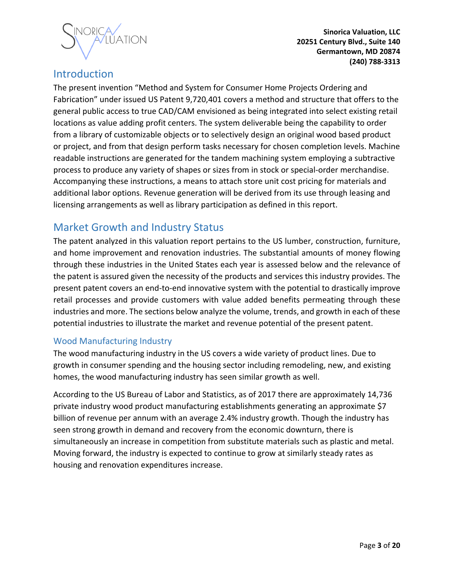

### <span id="page-3-0"></span>Introduction

The present invention "Method and System for Consumer Home Projects Ordering and Fabrication" under issued US Patent 9,720,401 covers a method and structure that offers to the general public access to true CAD/CAM envisioned as being integrated into select existing retail locations as value adding profit centers. The system deliverable being the capability to order from a library of customizable objects or to selectively design an original wood based product or project, and from that design perform tasks necessary for chosen completion levels. Machine readable instructions are generated for the tandem machining system employing a subtractive process to produce any variety of shapes or sizes from in stock or special-order merchandise. Accompanying these instructions, a means to attach store unit cost pricing for materials and additional labor options. Revenue generation will be derived from its use through leasing and licensing arrangements as well as library participation as defined in this report.

### <span id="page-3-1"></span>Market Growth and Industry Status

The patent analyzed in this valuation report pertains to the US lumber, construction, furniture, and home improvement and renovation industries. The substantial amounts of money flowing through these industries in the United States each year is assessed below and the relevance of the patent is assured given the necessity of the products and services this industry provides. The present patent covers an end-to-end innovative system with the potential to drastically improve retail processes and provide customers with value added benefits permeating through these industries and more. The sections below analyze the volume, trends, and growth in each of these potential industries to illustrate the market and revenue potential of the present patent.

#### <span id="page-3-2"></span>Wood Manufacturing Industry

The wood manufacturing industry in the US covers a wide variety of product lines. Due to growth in consumer spending and the housing sector including remodeling, new, and existing homes, the wood manufacturing industry has seen similar growth as well.

According to the US Bureau of Labor and Statistics, as of 2017 there are approximately 14,736 private industry wood product manufacturing establishments generating an approximate \$7 billion of revenue per annum with an average 2.4% industry growth. Though the industry has seen strong growth in demand and recovery from the economic downturn, there is simultaneously an increase in competition from substitute materials such as plastic and metal. Moving forward, the industry is expected to continue to grow at similarly steady rates as housing and renovation expenditures increase.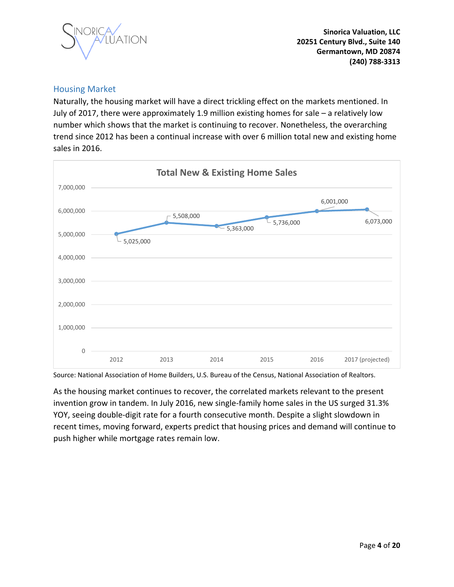

#### <span id="page-4-0"></span>Housing Market

Naturally, the housing market will have a direct trickling effect on the markets mentioned. In July of 2017, there were approximately 1.9 million existing homes for sale – a relatively low number which shows that the market is continuing to recover. Nonetheless, the overarching trend since 2012 has been a continual increase with over 6 million total new and existing home sales in 2016.



Source: National Association of Home Builders, U.S. Bureau of the Census, National Association of Realtors.

As the housing market continues to recover, the correlated markets relevant to the present invention grow in tandem. In July 2016, new single-family home sales in the US surged 31.3% YOY, seeing double-digit rate for a fourth consecutive month. Despite a slight slowdown in recent times, moving forward, experts predict that housing prices and demand will continue to push higher while mortgage rates remain low.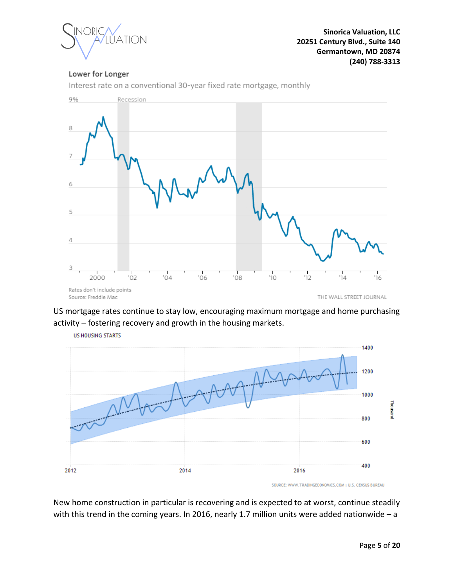

#### Lower for Longer



Interest rate on a conventional 30-year fixed rate mortgage, monthly

US mortgage rates continue to stay low, encouraging maximum mortgage and home purchasing activity – fostering recovery and growth in the housing markets.



New home construction in particular is recovering and is expected to at worst, continue steadily with this trend in the coming years. In 2016, nearly 1.7 million units were added nationwide – a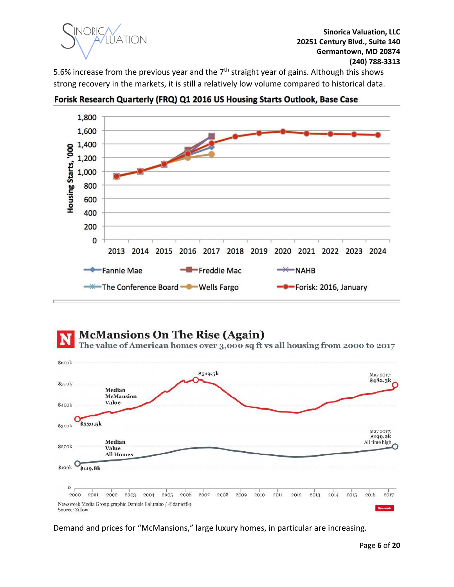

5.6% increase from the previous year and the  $7<sup>th</sup>$  straight year of gains. Although this shows strong recovery in the markets, it is still a relatively low volume compared to historical data.



Forisk Research Quarterly (FRQ) Q1 2016 US Housing Starts Outlook, Base Case



Demand and prices for "McMansions," large luxury homes, in particular are increasing.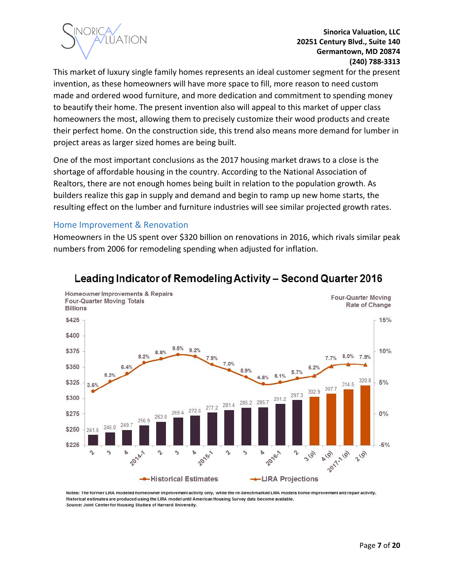

This market of luxury single family homes represents an ideal customer segment for the present invention, as these homeowners will have more space to fill, more reason to need custom made and ordered wood furniture, and more dedication and commitment to spending money to beautify their home. The present invention also will appeal to this market of upper class homeowners the most, allowing them to precisely customize their wood products and create their perfect home. On the construction side, this trend also means more demand for lumber in project areas as larger sized homes are being built.

One of the most important conclusions as the 2017 housing market draws to a close is the shortage of affordable housing in the country. According to the National Association of Realtors, there are not enough homes being built in relation to the population growth. As builders realize this gap in supply and demand and begin to ramp up new home starts, the resulting effect on the lumber and furniture industries will see similar projected growth rates.

#### <span id="page-7-0"></span>Home Improvement & Renovation

Homeowners in the US spent over \$320 billion on renovations in 2016, which rivals similar peak numbers from 2006 for remodeling spending when adjusted for inflation.



### Leading Indicator of Remodeling Activity - Second Quarter 2016

Notes: The former LIRA modeled homeowner improvement activity only, while the re-benchmarked LIRA models home improvement and repair activity. Historical estimates are produced using the LIRA model until American Housing Survey data become available. Source: Joint Center for Housing Studies of Harvard University.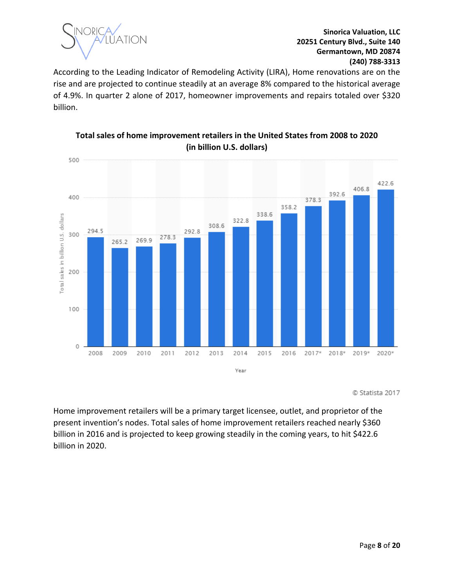

According to the Leading Indicator of Remodeling Activity (LIRA), Home renovations are on the rise and are projected to continue steadily at an average 8% compared to the historical average of 4.9%. In quarter 2 alone of 2017, homeowner improvements and repairs totaled over \$320 billion.



**Total sales of home improvement retailers in the United States from 2008 to 2020 (in billion U.S. dollars)**

© Statista 2017

Home improvement retailers will be a primary target licensee, outlet, and proprietor of the present invention's nodes. Total sales of home improvement retailers reached nearly \$360 billion in 2016 and is projected to keep growing steadily in the coming years, to hit \$422.6 billion in 2020.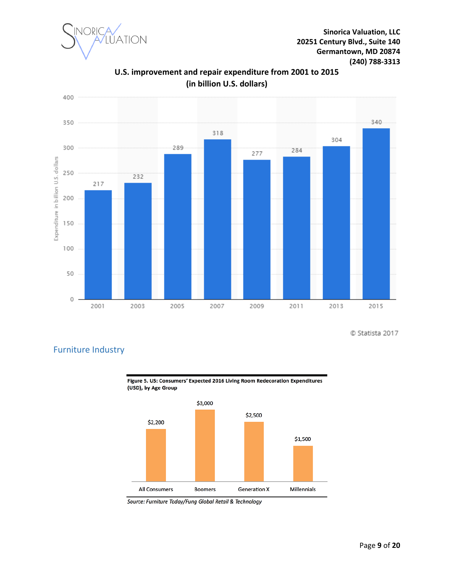



**U.S. improvement and repair expenditure from 2001 to 2015 (in billion U.S. dollars)**

© Statista 2017



<span id="page-9-0"></span>Furniture Industry

Source: Furniture Today/Fung Global Retail & Technology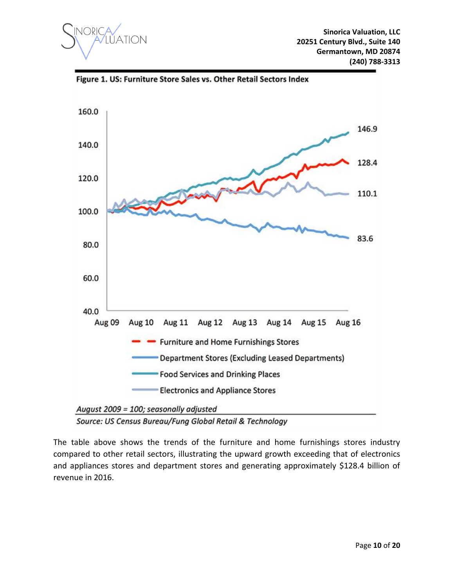



The table above shows the trends of the furniture and home furnishings stores industry compared to other retail sectors, illustrating the upward growth exceeding that of electronics and appliances stores and department stores and generating approximately \$128.4 billion of revenue in 2016.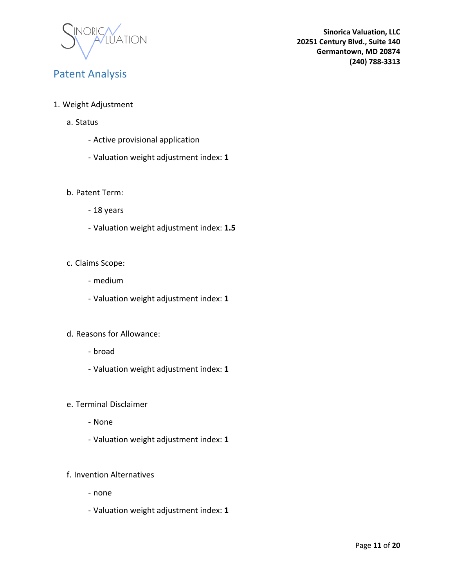

### <span id="page-11-0"></span>Patent Analysis

- 1. Weight Adjustment
	- a. Status
		- Active provisional application
		- Valuation weight adjustment index: **1**

#### b. Patent Term:

- 18 years
- Valuation weight adjustment index: **1.5**

#### c. Claims Scope:

- medium
- Valuation weight adjustment index: **1**

#### d. Reasons for Allowance:

- broad
- Valuation weight adjustment index: **1**
- e. Terminal Disclaimer
	- None
	- Valuation weight adjustment index: **1**

#### f. Invention Alternatives

- none
- Valuation weight adjustment index: **1**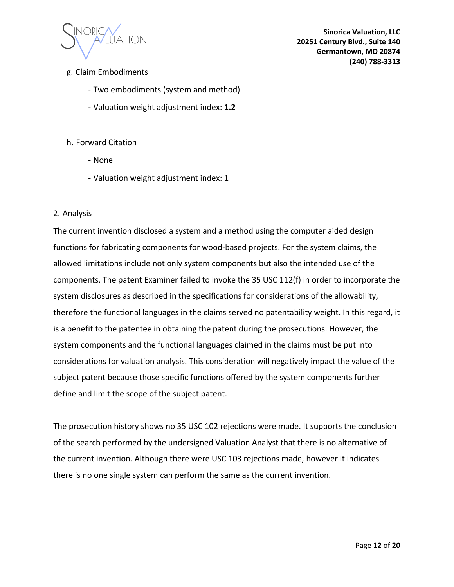

- g. Claim Embodiments
	- Two embodiments (system and method)
	- Valuation weight adjustment index: **1.2**

#### h. Forward Citation

- None
- Valuation weight adjustment index: **1**

#### 2. Analysis

The current invention disclosed a system and a method using the computer aided design functions for fabricating components for wood-based projects. For the system claims, the allowed limitations include not only system components but also the intended use of the components. The patent Examiner failed to invoke the 35 USC 112(f) in order to incorporate the system disclosures as described in the specifications for considerations of the allowability, therefore the functional languages in the claims served no patentability weight. In this regard, it is a benefit to the patentee in obtaining the patent during the prosecutions. However, the system components and the functional languages claimed in the claims must be put into considerations for valuation analysis. This consideration will negatively impact the value of the subject patent because those specific functions offered by the system components further define and limit the scope of the subject patent.

The prosecution history shows no 35 USC 102 rejections were made. It supports the conclusion of the search performed by the undersigned Valuation Analyst that there is no alternative of the current invention. Although there were USC 103 rejections made, however it indicates there is no one single system can perform the same as the current invention.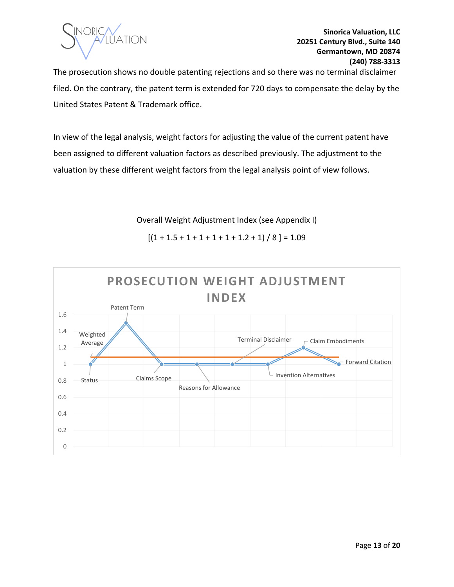

The prosecution shows no double patenting rejections and so there was no terminal disclaimer filed. On the contrary, the patent term is extended for 720 days to compensate the delay by the United States Patent & Trademark office.

In view of the legal analysis, weight factors for adjusting the value of the current patent have been assigned to different valuation factors as described previously. The adjustment to the valuation by these different weight factors from the legal analysis point of view follows.

Overall Weight Adjustment Index (see Appendix I)

 $[(1 + 1.5 + 1 + 1 + 1 + 1 + 1.2 + 1) / 8] = 1.09$ 

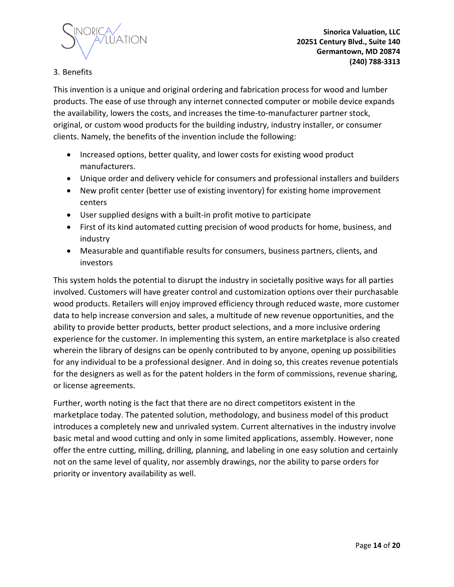

#### 3. Benefits

This invention is a unique and original ordering and fabrication process for wood and lumber products. The ease of use through any internet connected computer or mobile device expands the availability, lowers the costs, and increases the time-to-manufacturer partner stock, original, or custom wood products for the building industry, industry installer, or consumer clients. Namely, the benefits of the invention include the following:

- Increased options, better quality, and lower costs for existing wood product manufacturers.
- Unique order and delivery vehicle for consumers and professional installers and builders
- New profit center (better use of existing inventory) for existing home improvement centers
- User supplied designs with a built-in profit motive to participate
- First of its kind automated cutting precision of wood products for home, business, and industry
- Measurable and quantifiable results for consumers, business partners, clients, and investors

This system holds the potential to disrupt the industry in societally positive ways for all parties involved. Customers will have greater control and customization options over their purchasable wood products. Retailers will enjoy improved efficiency through reduced waste, more customer data to help increase conversion and sales, a multitude of new revenue opportunities, and the ability to provide better products, better product selections, and a more inclusive ordering experience for the customer. In implementing this system, an entire marketplace is also created wherein the library of designs can be openly contributed to by anyone, opening up possibilities for any individual to be a professional designer. And in doing so, this creates revenue potentials for the designers as well as for the patent holders in the form of commissions, revenue sharing, or license agreements.

Further, worth noting is the fact that there are no direct competitors existent in the marketplace today. The patented solution, methodology, and business model of this product introduces a completely new and unrivaled system. Current alternatives in the industry involve basic metal and wood cutting and only in some limited applications, assembly. However, none offer the entre cutting, milling, drilling, planning, and labeling in one easy solution and certainly not on the same level of quality, nor assembly drawings, nor the ability to parse orders for priority or inventory availability as well.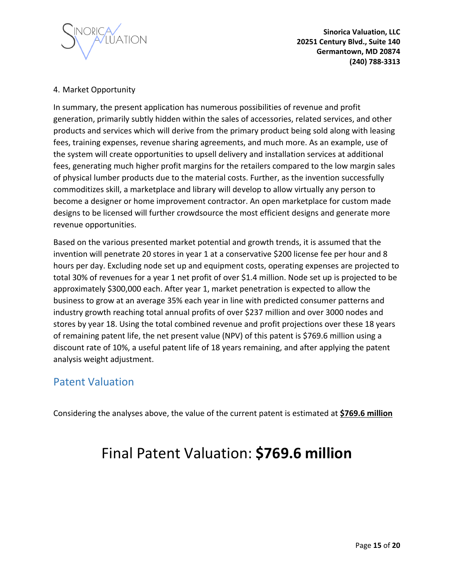

#### 4. Market Opportunity

In summary, the present application has numerous possibilities of revenue and profit generation, primarily subtly hidden within the sales of accessories, related services, and other products and services which will derive from the primary product being sold along with leasing fees, training expenses, revenue sharing agreements, and much more. As an example, use of the system will create opportunities to upsell delivery and installation services at additional fees, generating much higher profit margins for the retailers compared to the low margin sales of physical lumber products due to the material costs. Further, as the invention successfully commoditizes skill, a marketplace and library will develop to allow virtually any person to become a designer or home improvement contractor. An open marketplace for custom made designs to be licensed will further crowdsource the most efficient designs and generate more revenue opportunities.

Based on the various presented market potential and growth trends, it is assumed that the invention will penetrate 20 stores in year 1 at a conservative \$200 license fee per hour and 8 hours per day. Excluding node set up and equipment costs, operating expenses are projected to total 30% of revenues for a year 1 net profit of over \$1.4 million. Node set up is projected to be approximately \$300,000 each. After year 1, market penetration is expected to allow the business to grow at an average 35% each year in line with predicted consumer patterns and industry growth reaching total annual profits of over \$237 million and over 3000 nodes and stores by year 18. Using the total combined revenue and profit projections over these 18 years of remaining patent life, the net present value (NPV) of this patent is \$769.6 million using a discount rate of 10%, a useful patent life of 18 years remaining, and after applying the patent analysis weight adjustment.

### <span id="page-15-0"></span>Patent Valuation

Considering the analyses above, the value of the current patent is estimated at **\$769.6 million**

# Final Patent Valuation: **\$769.6 million**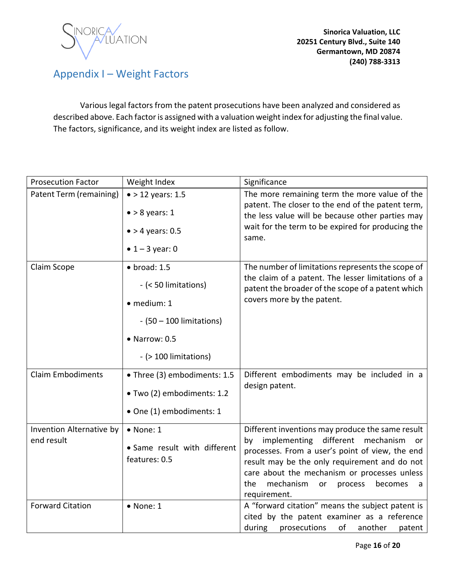

### <span id="page-16-0"></span>Appendix I – Weight Factors

Various legal factors from the patent prosecutions have been analyzed and considered as described above. Each factor is assigned with a valuation weight index for adjusting the final value. The factors, significance, and its weight index are listed as follow.

| <b>Prosecution Factor</b> | Weight Index                 | Significance                                                                                                                                                        |
|---------------------------|------------------------------|---------------------------------------------------------------------------------------------------------------------------------------------------------------------|
| Patent Term (remaining)   | $\bullet$ > 12 years: 1.5    | The more remaining term the more value of the                                                                                                                       |
|                           | $\bullet$ > 8 years: 1       | patent. The closer to the end of the patent term,<br>the less value will be because other parties may<br>wait for the term to be expired for producing the<br>same. |
|                           | $\bullet$ > 4 years: 0.5     |                                                                                                                                                                     |
|                           | • $1 - 3$ year: 0            |                                                                                                                                                                     |
| Claim Scope               | $\bullet$ broad: 1.5         | The number of limitations represents the scope of<br>the claim of a patent. The lesser limitations of a<br>patent the broader of the scope of a patent which        |
|                           | - (< 50 limitations)         |                                                                                                                                                                     |
|                           | · medium: 1                  | covers more by the patent.                                                                                                                                          |
|                           | $-(50 - 100$ limitations)    |                                                                                                                                                                     |
|                           | $\bullet$ Narrow: 0.5        |                                                                                                                                                                     |
|                           | - (> 100 limitations)        |                                                                                                                                                                     |
| <b>Claim Embodiments</b>  | • Three (3) embodiments: 1.5 | Different embodiments may be included in a<br>design patent.                                                                                                        |
|                           | • Two (2) embodiments: 1.2   |                                                                                                                                                                     |
|                           | • One (1) embodiments: 1     |                                                                                                                                                                     |
| Invention Alternative by  | $\bullet$ None: 1            | Different inventions may produce the same result                                                                                                                    |
| end result                | • Same result with different | by implementing different mechanism<br>or                                                                                                                           |
|                           | features: 0.5                | processes. From a user's point of view, the end<br>result may be the only requirement and do not                                                                    |
|                           |                              | care about the mechanism or processes unless                                                                                                                        |
|                           |                              | mechanism<br>the<br>becomes<br>or<br>process<br>a<br>requirement.                                                                                                   |
| <b>Forward Citation</b>   | $\bullet$ None: 1            | A "forward citation" means the subject patent is                                                                                                                    |
|                           |                              | cited by the patent examiner as a reference                                                                                                                         |
|                           |                              | during<br>prosecutions<br>of<br>another<br>patent                                                                                                                   |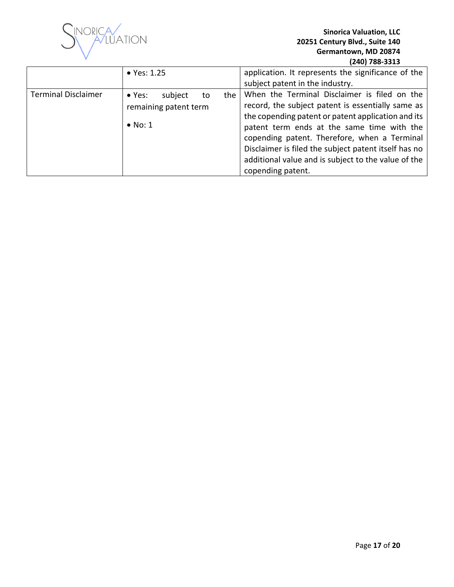

|                            | • Yes: 1.25                                                                | application. It represents the significance of the<br>subject patent in the industry.                                                                                                                                                                                                                                                                                                     |
|----------------------------|----------------------------------------------------------------------------|-------------------------------------------------------------------------------------------------------------------------------------------------------------------------------------------------------------------------------------------------------------------------------------------------------------------------------------------------------------------------------------------|
| <b>Terminal Disclaimer</b> | • Yes:<br>subject<br>the<br>to<br>remaining patent term<br>$\bullet$ No: 1 | When the Terminal Disclaimer is filed on the<br>record, the subject patent is essentially same as<br>the copending patent or patent application and its<br>patent term ends at the same time with the<br>copending patent. Therefore, when a Terminal<br>Disclaimer is filed the subject patent itself has no<br>additional value and is subject to the value of the<br>copending patent. |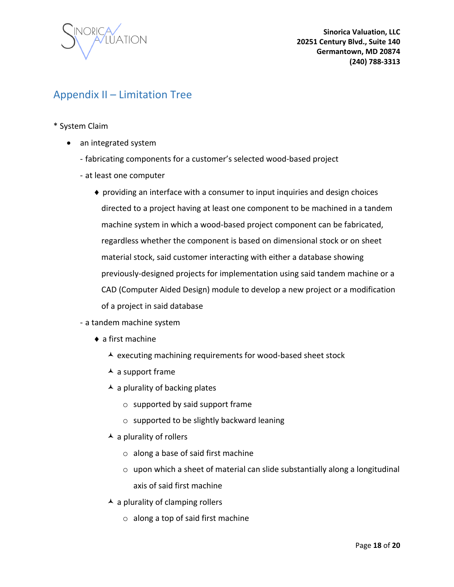

### <span id="page-18-0"></span>Appendix II – Limitation Tree

- \* System Claim
	- an integrated system
		- fabricating components for a customer's selected wood-based project
		- at least one computer
			- $\bullet$  providing an interface with a consumer to input inquiries and design choices directed to a project having at least one component to be machined in a tandem machine system in which a wood-based project component can be fabricated, regardless whether the component is based on dimensional stock or on sheet material stock, said customer interacting with either a database showing previously-designed projects for implementation using said tandem machine or a CAD (Computer Aided Design) module to develop a new project or a modification of a project in said database
		- a tandem machine system
			- ◆ a first machine
				- $\lambda$  executing machining requirements for wood-based sheet stock
				- $\overline{\phantom{a}}$  a support frame
				- $\blacktriangle$  a plurality of backing plates
					- o supported by said support frame
					- o supported to be slightly backward leaning
				- $\blacktriangle$  a plurality of rollers
					- o along a base of said first machine
					- $\circ$  upon which a sheet of material can slide substantially along a longitudinal axis of said first machine
				- $\blacktriangle$  a plurality of clamping rollers
					- $\circ$  along a top of said first machine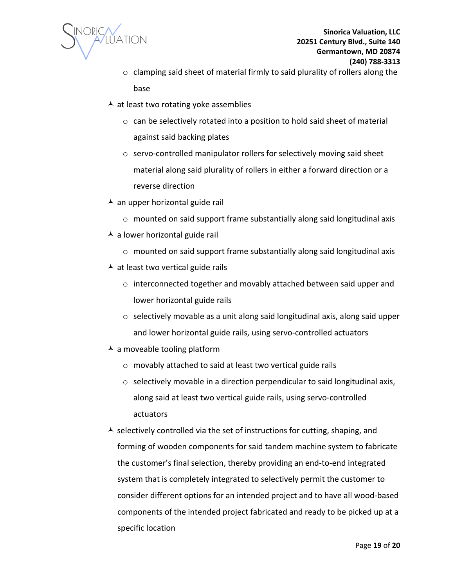

- o clamping said sheet of material firmly to said plurality of rollers along the base
- $\overline{\phantom{a}}$  at least two rotating yoke assemblies
	- o can be selectively rotated into a position to hold said sheet of material against said backing plates
	- o servo-controlled manipulator rollers for selectively moving said sheet material along said plurality of rollers in either a forward direction or a reverse direction
- $\overline{\phantom{a}}$  an upper horizontal guide rail
	- o mounted on said support frame substantially along said longitudinal axis
- $\overline{\phantom{a}}$  a lower horizontal guide rail
	- o mounted on said support frame substantially along said longitudinal axis
- $\overline{\phantom{a}}$  at least two vertical guide rails
	- o interconnected together and movably attached between said upper and lower horizontal guide rails
	- o selectively movable as a unit along said longitudinal axis, along said upper and lower horizontal guide rails, using servo-controlled actuators
- $\blacktriangle$  a moveable tooling platform
	- o movably attached to said at least two vertical guide rails
	- o selectively movable in a direction perpendicular to said longitudinal axis, along said at least two vertical guide rails, using servo-controlled actuators
- $\overline{\phantom{a}}$  selectively controlled via the set of instructions for cutting, shaping, and forming of wooden components for said tandem machine system to fabricate the customer's final selection, thereby providing an end-to-end integrated system that is completely integrated to selectively permit the customer to consider different options for an intended project and to have all wood-based components of the intended project fabricated and ready to be picked up at a specific location